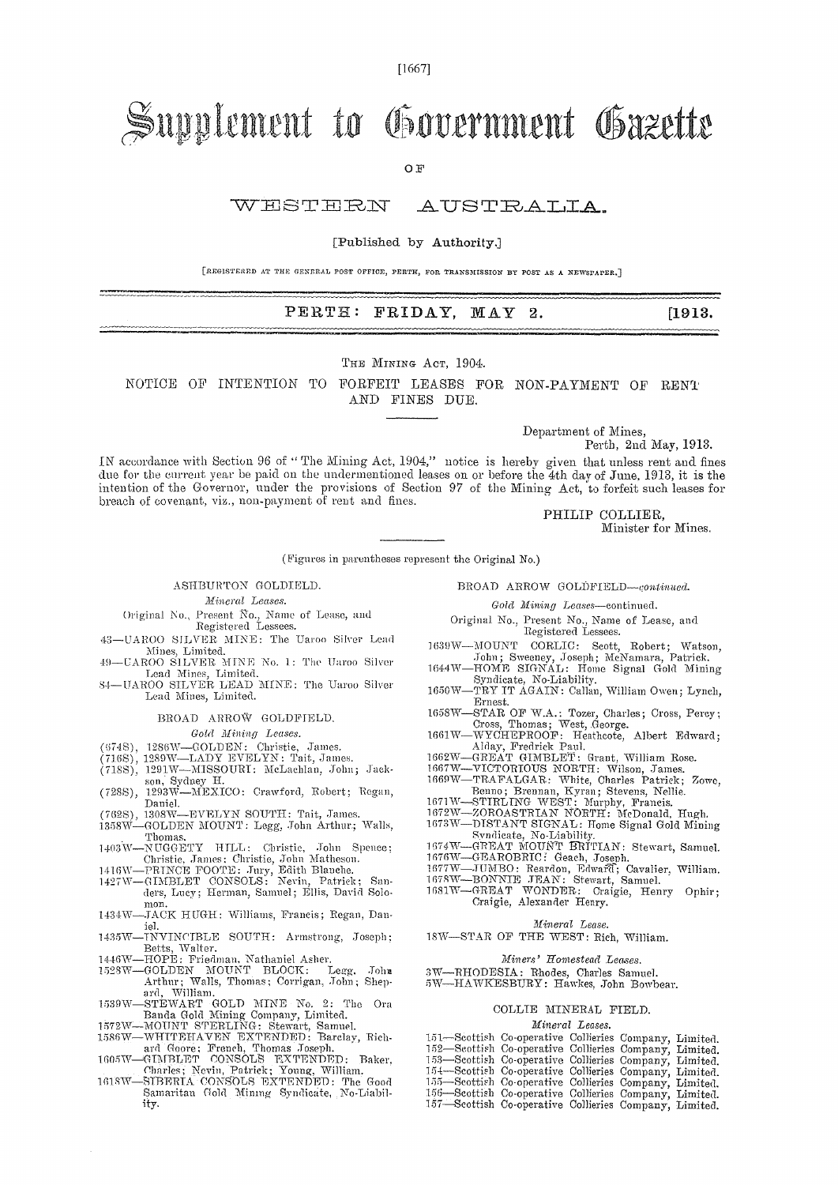[1667]

# Supplement to Government Gazette

OF

### W H ST H RN .A U ST RALIA.

#### [Published by Authority.]

[REGISTERED AT THE GENERAL POST OFFICE, PERTH, FOR TRANSMISSION BY POST AS A NEWSPAPER.]

### PERTH: FRIDAY, MAY 2. [1913.]

THE MINING ACT, 1904.

NOTICE OF INTENTION TO FORFEIT LEASES FOR NON-PAYMENT OF RENT AND FINES DUE.

Department of Mines,

Perth, 2nd May, 1913.

IN accordance with Section 96 of " The Mining Act, 1904," notice is hereby given that unless rent and fines due for the current year be paid on the undermentioned leases on or before the 4th day of June, 1913, it is the intention of the Governor, under the provisions of Section 97 of the Mining Act, to forfeit such leases for breach of covenant, via., non-payment of rent and fines.

PHILIP COLLIER, Minister for Mines.

(Figures in parentheses represent the Original No.)

#### ASHBURTON GOLDIELD.

*Mineral Leases.* 

- Original No., Present No., Name of Lease, and Registered Lessees.
- 43-UAROO SILVER MINE: The Uaroo Silver Lead Mines, Limited.
- 49--UAROO SILVER MINE No. 1: The Uaroo Silver
- Lead Mines, Limited. 84—UAROO SILVER LEAD MINE: The Uaroo Silver Lead Mines, Limited.

BROAD ARROW GOLDFIELD.

### *Gold Mining Leases.*

- 
- 
- (674S), 1286W—GOLDEN: Christie, James.<br>(716S), 1289W—LADY EVELYN: Tait, James.<br>(718S), 1291W—MISSOURI: McLachlan, John; Jackson, Sydney H. (728S), 1293W—MEXICO: Crawford, Robert; Regan,
- Daniel.
- (762S), 1308W—EVELYN SOUTH: Tait, James. 1358W—GOLDEN MOUNT: Legg, John Arthur.; Walls,
- . Thomas. 1403W—NUTGGETY HILL: Christie, John Spence; Christie, James; Christie, John Matheson.
- 
- 1410W—PRINCE FOOTE: Jury, Edith Blanche. 14271V—GIMBLET CONSOLS: Nevin, Patrick; Sanders, Lucy; Herman, Samuel; Ellis, David Solo-
- mon. 1434W—JACK HUGH: Williams, Francis; Regan, Dan-
- iel. 1435W—TNYINCTBLE SOUTH: Armstrong, Joseph;
- 
- Betts, Walter.<br>
1446W—HOPE: Friedman, Nathaniel Asher.<br>
1528W—GOLDEN MOUNT BLOCK: Legg, John<br>
Arthur; Walls, Thomas; Corrigan, John; Shep-<br>
ard, William.
- 1539W—STEWART GOLD MINE No. 2: The Ora<br>
Banda Gold Mining Company, Limited.<br>
1572W—MOUNT STERLING: Stewart, Samuel.<br>
1586W—WHITEHAVEN EXTENDED: Barclay, Rich-<br>
2HI Goore; French, Thomas Joseph.<br>
1605W—GHMBLET CONSOLS EXTEN
- 
- 
- 
- 1618W—SIBERIA CONSOLS EXTENDED: The Good Samaritan Gold Mining Syndicate, No-Liability.

BROAD ARROW GOLDFIELD-continued.

*Gold Mining Leases—continued.* 

- Original No., Present No., Name of Lease, and Registered Lessees.
- 1039W—MOUNT CORLIC: Scott, Robert; Watson, ;Ian; Sweeney, Joseph; McNamara, Patrick. 1044W—HOME SIGNAL: Home Signal Gold Mining
- Syndicate, No-Liability. 1650W—TRY IT AGAIN: Callan, William Owen; Lynch,
- 
- Ernest.<br>
1658W—STAR OF W.A.: Tozer, Charles; Cross, Percy;<br>
Cross, Cross, Thomas; West, George.<br>
1661W—WYCHEPROOF: Heathcote, Albert Edward;<br>
Alday, Fredrick Paul.
- 
- 
- 1602W—GREAT GIMBLET: Grant, William Rose. 1607W—VICTORIOUS NORTH: Wilson, James. 1.669W—TRAFALGAR: White, Charles Patrick; Zowe,
- 
- 
- Benno; Brennan, Kyran; Stevens, Nellie.<br>1671W—STIRLING WEST: Murphy, Francis.<br>1672W—ZOROASTRIAN NORTH: McDonald, Hugh.<br>1673W—DISTANT SIGNAL: Home Signal Gold Mining<br>578W—GERARI MCUNT BRITIAN: Stewart, Samuel.<br>1674W—GEAROBR
- 

1677W—JUMBO: Reardon, Edwaff; Cavalier, William. 1678W—BONNIE JEAN: Stewart, Samuel. 1081W—GREAT WONDER: Craigie, Henry Ophir;

Craigie, Alexander Henry.

#### *Mineral Lease.*

18W—STAR OF THE WEST: Rich, William.

*Miners' Homestead Leases.* 

- 
- 3W—RHODESIA: Rhodes, Charles Samuel. 5W---HAWKESBURY: Hawkes, John Bowbear.

#### COLLIE MINERAL FIELD.

#### *Mineral Leases.*

| 151-Scottish Co-operative Collieries Company, Limited. |  |  |
|--------------------------------------------------------|--|--|
| 152-Seottish Co-operative Collieries Company, Limited. |  |  |
| 153-Seottish Co-operative Collieries Company, Limited. |  |  |
| 154—Scottish Co-operative Collieries Company, Limited. |  |  |
| 155-Scottish Co-operative Collieries Company, Limited. |  |  |
| 156—Scottish Co-operative Collieries Company, Limited. |  |  |
| 157-Scottish Co-operative Collieries Company, Limited. |  |  |